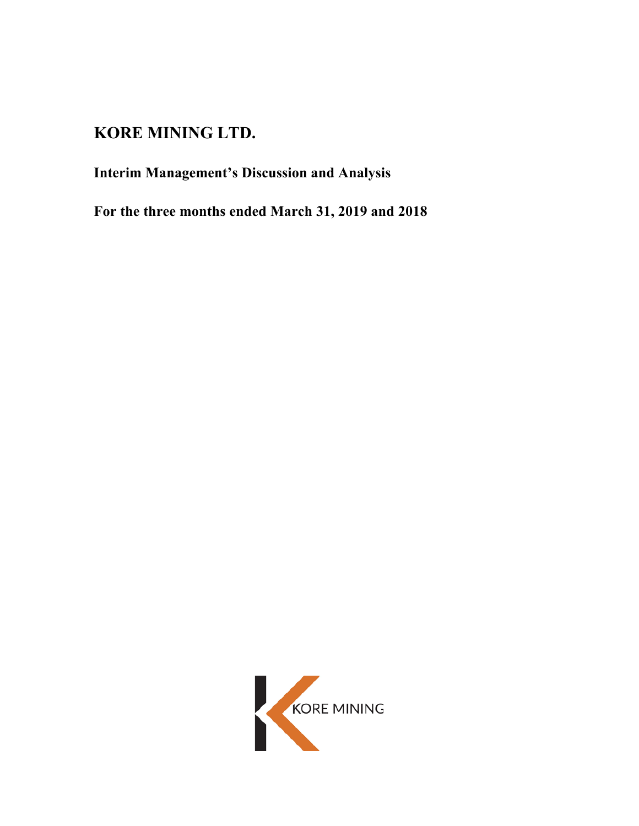# **KORE MINING LTD.**

# **Interim Management's Discussion and Analysis**

**For the three months ended March 31, 2019 and 2018**

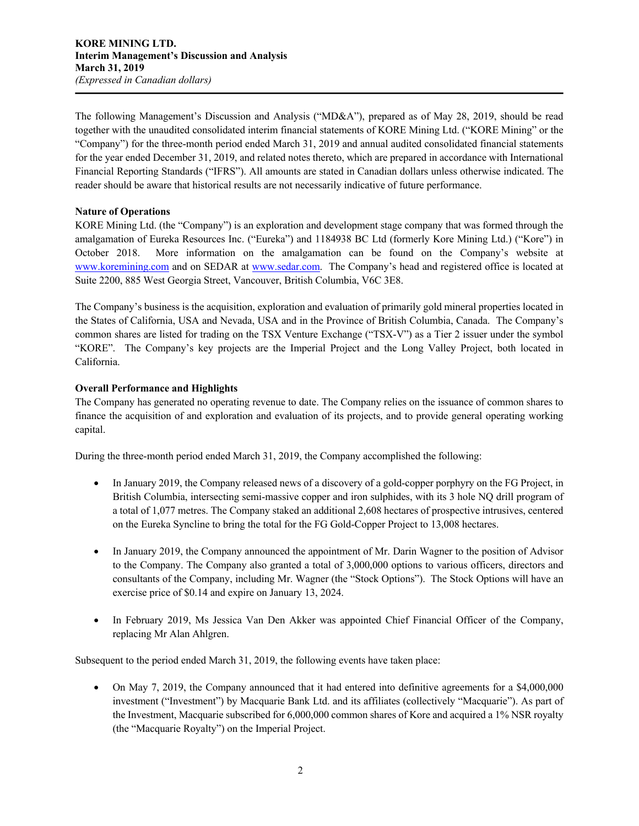The following Management's Discussion and Analysis ("MD&A"), prepared as of May 28, 2019, should be read together with the unaudited consolidated interim financial statements of KORE Mining Ltd. ("KORE Mining" or the "Company") for the three-month period ended March 31, 2019 and annual audited consolidated financial statements for the year ended December 31, 2019, and related notes thereto, which are prepared in accordance with International Financial Reporting Standards ("IFRS"). All amounts are stated in Canadian dollars unless otherwise indicated. The reader should be aware that historical results are not necessarily indicative of future performance.

## **Nature of Operations**

KORE Mining Ltd. (the "Company") is an exploration and development stage company that was formed through the amalgamation of Eureka Resources Inc. ("Eureka") and 1184938 BC Ltd (formerly Kore Mining Ltd.) ("Kore") in October 2018. More information on the amalgamation can be found on the Company's website at www.koremining.com and on SEDAR at www.sedar.com. The Company's head and registered office is located at Suite 2200, 885 West Georgia Street, Vancouver, British Columbia, V6C 3E8.

The Company's business is the acquisition, exploration and evaluation of primarily gold mineral properties located in the States of California, USA and Nevada, USA and in the Province of British Columbia, Canada. The Company's common shares are listed for trading on the TSX Venture Exchange ("TSX-V") as a Tier 2 issuer under the symbol "KORE". The Company's key projects are the Imperial Project and the Long Valley Project, both located in California.

## **Overall Performance and Highlights**

The Company has generated no operating revenue to date. The Company relies on the issuance of common shares to finance the acquisition of and exploration and evaluation of its projects, and to provide general operating working capital.

During the three-month period ended March 31, 2019, the Company accomplished the following:

- In January 2019, the Company released news of a discovery of a gold-copper porphyry on the FG Project, in British Columbia, intersecting semi-massive copper and iron sulphides, with its 3 hole NQ drill program of a total of 1,077 metres. The Company staked an additional 2,608 hectares of prospective intrusives, centered on the Eureka Syncline to bring the total for the FG Gold-Copper Project to 13,008 hectares.
- In January 2019, the Company announced the appointment of Mr. Darin Wagner to the position of Advisor to the Company. The Company also granted a total of 3,000,000 options to various officers, directors and consultants of the Company, including Mr. Wagner (the "Stock Options"). The Stock Options will have an exercise price of \$0.14 and expire on January 13, 2024.
- In February 2019, Ms Jessica Van Den Akker was appointed Chief Financial Officer of the Company, replacing Mr Alan Ahlgren.

Subsequent to the period ended March 31, 2019, the following events have taken place:

• On May 7, 2019, the Company announced that it had entered into definitive agreements for a \$4,000,000 investment ("Investment") by Macquarie Bank Ltd. and its affiliates (collectively "Macquarie"). As part of the Investment, Macquarie subscribed for 6,000,000 common shares of Kore and acquired a 1% NSR royalty (the "Macquarie Royalty") on the Imperial Project.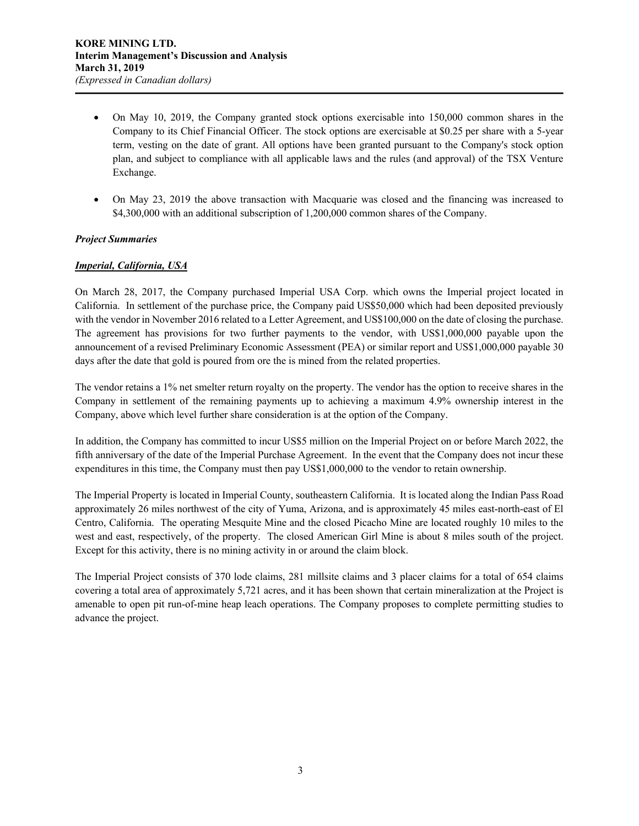- On May 10, 2019, the Company granted stock options exercisable into 150,000 common shares in the Company to its Chief Financial Officer. The stock options are exercisable at \$0.25 per share with a 5-year term, vesting on the date of grant. All options have been granted pursuant to the Company's stock option plan, and subject to compliance with all applicable laws and the rules (and approval) of the TSX Venture Exchange.
- On May 23, 2019 the above transaction with Macquarie was closed and the financing was increased to \$4,300,000 with an additional subscription of 1,200,000 common shares of the Company.

## *Project Summaries*

## *Imperial, California, USA*

On March 28, 2017, the Company purchased Imperial USA Corp. which owns the Imperial project located in California. In settlement of the purchase price, the Company paid US\$50,000 which had been deposited previously with the vendor in November 2016 related to a Letter Agreement, and US\$100,000 on the date of closing the purchase. The agreement has provisions for two further payments to the vendor, with US\$1,000,000 payable upon the announcement of a revised Preliminary Economic Assessment (PEA) or similar report and US\$1,000,000 payable 30 days after the date that gold is poured from ore the is mined from the related properties.

The vendor retains a 1% net smelter return royalty on the property. The vendor has the option to receive shares in the Company in settlement of the remaining payments up to achieving a maximum 4.9% ownership interest in the Company, above which level further share consideration is at the option of the Company.

In addition, the Company has committed to incur US\$5 million on the Imperial Project on or before March 2022, the fifth anniversary of the date of the Imperial Purchase Agreement. In the event that the Company does not incur these expenditures in this time, the Company must then pay US\$1,000,000 to the vendor to retain ownership.

The Imperial Property is located in Imperial County, southeastern California. It is located along the Indian Pass Road approximately 26 miles northwest of the city of Yuma, Arizona, and is approximately 45 miles east-north-east of El Centro, California. The operating Mesquite Mine and the closed Picacho Mine are located roughly 10 miles to the west and east, respectively, of the property. The closed American Girl Mine is about 8 miles south of the project. Except for this activity, there is no mining activity in or around the claim block.

The Imperial Project consists of 370 lode claims, 281 millsite claims and 3 placer claims for a total of 654 claims covering a total area of approximately 5,721 acres, and it has been shown that certain mineralization at the Project is amenable to open pit run-of-mine heap leach operations. The Company proposes to complete permitting studies to advance the project.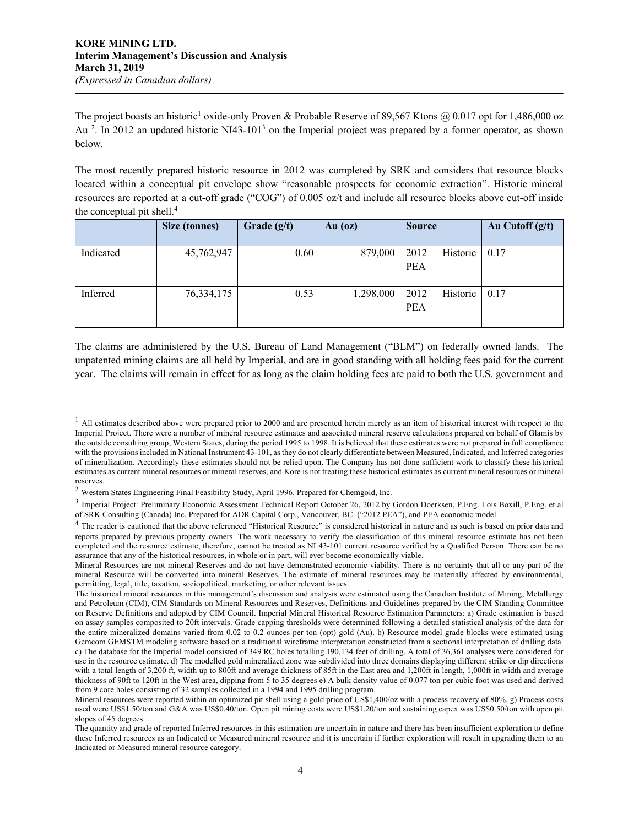$\overline{\phantom{a}}$ 

The project boasts an historic<sup>1</sup> oxide-only Proven & Probable Reserve of 89,567 Ktons @ 0.017 opt for 1,486,000 oz Au <sup>2</sup>. In 2012 an updated historic NI43-101<sup>3</sup> on the Imperial project was prepared by a former operator, as shown below.

The most recently prepared historic resource in 2012 was completed by SRK and considers that resource blocks located within a conceptual pit envelope show "reasonable prospects for economic extraction". Historic mineral resources are reported at a cut-off grade ("COG") of 0.005 oz/t and include all resource blocks above cut-off inside the conceptual pit shell.4

|           | <b>Size (tonnes)</b> | Grade $(g/t)$ | $Au$ (oz) | <b>Source</b>                  | Au Cutoff $(g/t)$ |
|-----------|----------------------|---------------|-----------|--------------------------------|-------------------|
| Indicated | 45,762,947           | 0.60          | 879,000   | 2012<br>Historic<br><b>PEA</b> | 0.17              |
| Inferred  | 76, 334, 175         | 0.53          | 1,298,000 | 2012<br>Historic<br><b>PEA</b> | 0.17              |

The claims are administered by the U.S. Bureau of Land Management ("BLM") on federally owned lands. The unpatented mining claims are all held by Imperial, and are in good standing with all holding fees paid for the current year. The claims will remain in effect for as long as the claim holding fees are paid to both the U.S. government and

 $<sup>1</sup>$  All estimates described above were prepared prior to 2000 and are presented herein merely as an item of historical interest with respect to the</sup> Imperial Project. There were a number of mineral resource estimates and associated mineral reserve calculations prepared on behalf of Glamis by the outside consulting group, Western States, during the period 1995 to 1998. It is believed that these estimates were not prepared in full compliance with the provisions included in National Instrument 43-101, as they do not clearly differentiate between Measured, Indicated, and Inferred categories of mineralization. Accordingly these estimates should not be relied upon. The Company has not done sufficient work to classify these historical estimates as current mineral resources or mineral reserves, and Kore is not treating these historical estimates as current mineral resources or mineral reserves.

<sup>2</sup> Western States Engineering Final Feasibility Study, April 1996. Prepared for Chemgold, Inc.

<sup>&</sup>lt;sup>3</sup> Imperial Project: Preliminary Economic Assessment Technical Report October 26, 2012 by Gordon Doerksen, P.Eng. Lois Boxill, P.Eng. et al of SRK Consulting (Canada) Inc. Prepared for ADR Capital Corp., Vancouver, BC. ("2012 PEA"), and PEA economic model.

<sup>&</sup>lt;sup>4</sup> The reader is cautioned that the above referenced "Historical Resource" is considered historical in nature and as such is based on prior data and reports prepared by previous property owners. The work necessary to verify the classification of this mineral resource estimate has not been completed and the resource estimate, therefore, cannot be treated as NI 43-101 current resource verified by a Qualified Person. There can be no assurance that any of the historical resources, in whole or in part, will ever become economically viable.

Mineral Resources are not mineral Reserves and do not have demonstrated economic viability. There is no certainty that all or any part of the mineral Resource will be converted into mineral Reserves. The estimate of mineral resources may be materially affected by environmental, permitting, legal, title, taxation, sociopolitical, marketing, or other relevant issues.

The historical mineral resources in this management's discussion and analysis were estimated using the Canadian Institute of Mining, Metallurgy and Petroleum (CIM), CIM Standards on Mineral Resources and Reserves, Definitions and Guidelines prepared by the CIM Standing Committee on Reserve Definitions and adopted by CIM Council. Imperial Mineral Historical Resource Estimation Parameters: a) Grade estimation is based on assay samples composited to 20ft intervals. Grade capping thresholds were determined following a detailed statistical analysis of the data for the entire mineralized domains varied from 0.02 to 0.2 ounces per ton (opt) gold (Au). b) Resource model grade blocks were estimated using Gemcom GEMSTM modeling software based on a traditional wireframe interpretation constructed from a sectional interpretation of drilling data. c) The database for the Imperial model consisted of 349 RC holes totalling 190,134 feet of drilling. A total of 36,361 analyses were considered for use in the resource estimate. d) The modelled gold mineralized zone was subdivided into three domains displaying different strike or dip directions with a total length of 3,200 ft, width up to 800ft and average thickness of 85ft in the East area and 1,200ft in length, 1,000ft in width and average thickness of 90ft to 120ft in the West area, dipping from 5 to 35 degrees e) A bulk density value of 0.077 ton per cubic foot was used and derived from 9 core holes consisting of 32 samples collected in a 1994 and 1995 drilling program.

Mineral resources were reported within an optimized pit shell using a gold price of US\$1,400/oz with a process recovery of 80%. g) Process costs used were US\$1.50/ton and G&A was US\$0.40/ton. Open pit mining costs were US\$1.20/ton and sustaining capex was US\$0.50/ton with open pit slopes of 45 degrees.

The quantity and grade of reported Inferred resources in this estimation are uncertain in nature and there has been insufficient exploration to define these Inferred resources as an Indicated or Measured mineral resource and it is uncertain if further exploration will result in upgrading them to an Indicated or Measured mineral resource category.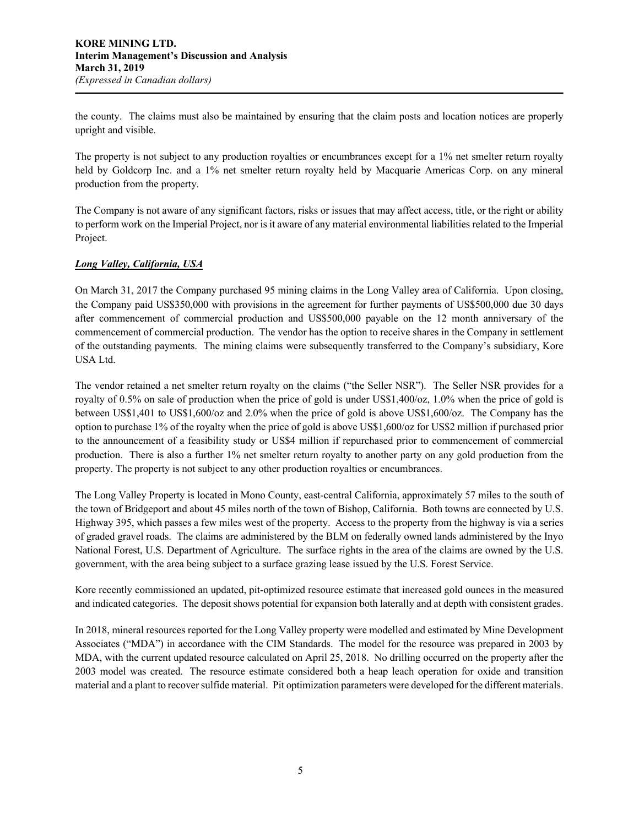the county. The claims must also be maintained by ensuring that the claim posts and location notices are properly upright and visible.

The property is not subject to any production royalties or encumbrances except for a 1% net smelter return royalty held by Goldcorp Inc. and a 1% net smelter return royalty held by Macquarie Americas Corp. on any mineral production from the property.

The Company is not aware of any significant factors, risks or issues that may affect access, title, or the right or ability to perform work on the Imperial Project, nor is it aware of any material environmental liabilities related to the Imperial Project.

# *Long Valley, California, USA*

On March 31, 2017 the Company purchased 95 mining claims in the Long Valley area of California. Upon closing, the Company paid US\$350,000 with provisions in the agreement for further payments of US\$500,000 due 30 days after commencement of commercial production and US\$500,000 payable on the 12 month anniversary of the commencement of commercial production. The vendor has the option to receive shares in the Company in settlement of the outstanding payments. The mining claims were subsequently transferred to the Company's subsidiary, Kore USA Ltd.

The vendor retained a net smelter return royalty on the claims ("the Seller NSR"). The Seller NSR provides for a royalty of 0.5% on sale of production when the price of gold is under US\$1,400/oz, 1.0% when the price of gold is between US\$1,401 to US\$1,600/oz and 2.0% when the price of gold is above US\$1,600/oz. The Company has the option to purchase 1% of the royalty when the price of gold is above US\$1,600/oz for US\$2 million if purchased prior to the announcement of a feasibility study or US\$4 million if repurchased prior to commencement of commercial production. There is also a further 1% net smelter return royalty to another party on any gold production from the property. The property is not subject to any other production royalties or encumbrances.

The Long Valley Property is located in Mono County, east-central California, approximately 57 miles to the south of the town of Bridgeport and about 45 miles north of the town of Bishop, California. Both towns are connected by U.S. Highway 395, which passes a few miles west of the property. Access to the property from the highway is via a series of graded gravel roads. The claims are administered by the BLM on federally owned lands administered by the Inyo National Forest, U.S. Department of Agriculture. The surface rights in the area of the claims are owned by the U.S. government, with the area being subject to a surface grazing lease issued by the U.S. Forest Service.

Kore recently commissioned an updated, pit-optimized resource estimate that increased gold ounces in the measured and indicated categories. The deposit shows potential for expansion both laterally and at depth with consistent grades.

In 2018, mineral resources reported for the Long Valley property were modelled and estimated by Mine Development Associates ("MDA") in accordance with the CIM Standards. The model for the resource was prepared in 2003 by MDA, with the current updated resource calculated on April 25, 2018. No drilling occurred on the property after the 2003 model was created. The resource estimate considered both a heap leach operation for oxide and transition material and a plant to recover sulfide material. Pit optimization parameters were developed for the different materials.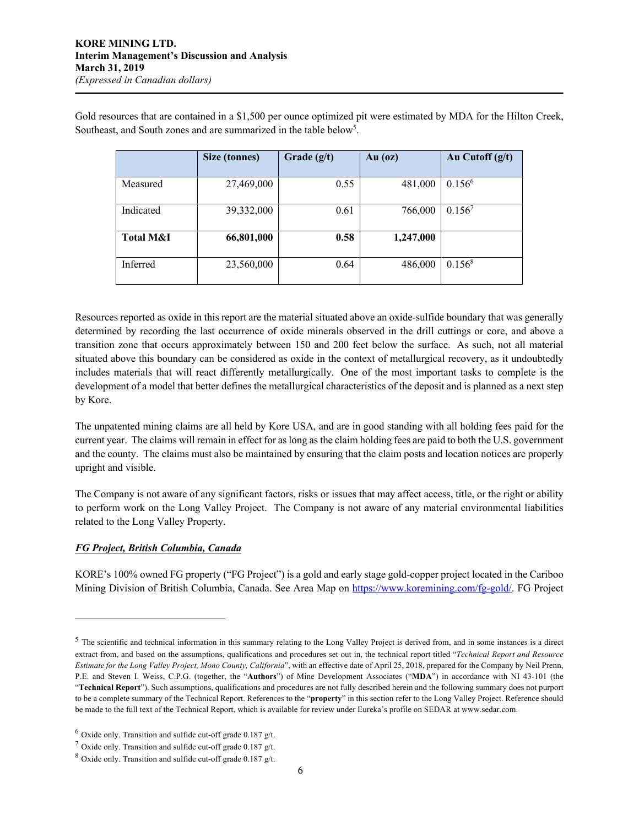Gold resources that are contained in a \$1,500 per ounce optimized pit were estimated by MDA for the Hilton Creek, Southeast, and South zones and are summarized in the table below<sup>5</sup>.

|                      | <b>Size (tonnes)</b> | Grade $(g/t)$ | Au $(oz)$ | Au Cutoff $(g/t)$ |
|----------------------|----------------------|---------------|-----------|-------------------|
| Measured             | 27,469,000           | 0.55          | 481,000   | $0.156^6$         |
| Indicated            | 39,332,000           | 0.61          | 766,000   | $0.156^7$         |
| <b>Total M&amp;I</b> | 66,801,000           | 0.58          | 1,247,000 |                   |
| Inferred             | 23,560,000           | 0.64          | 486,000   | $0.156^8$         |

Resources reported as oxide in this report are the material situated above an oxide-sulfide boundary that was generally determined by recording the last occurrence of oxide minerals observed in the drill cuttings or core, and above a transition zone that occurs approximately between 150 and 200 feet below the surface. As such, not all material situated above this boundary can be considered as oxide in the context of metallurgical recovery, as it undoubtedly includes materials that will react differently metallurgically. One of the most important tasks to complete is the development of a model that better defines the metallurgical characteristics of the deposit and is planned as a next step by Kore.

The unpatented mining claims are all held by Kore USA, and are in good standing with all holding fees paid for the current year. The claims will remain in effect for as long as the claim holding fees are paid to both the U.S. government and the county. The claims must also be maintained by ensuring that the claim posts and location notices are properly upright and visible.

The Company is not aware of any significant factors, risks or issues that may affect access, title, or the right or ability to perform work on the Long Valley Project. The Company is not aware of any material environmental liabilities related to the Long Valley Property.

# *FG Project, British Columbia, Canada*

 $\overline{\phantom{a}}$ 

KORE's 100% owned FG property ("FG Project") is a gold and early stage gold-copper project located in the Cariboo Mining Division of British Columbia, Canada. See Area Map on https://www.koremining.com/fg-gold/. FG Project

<sup>&</sup>lt;sup>5</sup> The scientific and technical information in this summary relating to the Long Valley Project is derived from, and in some instances is a direct extract from, and based on the assumptions, qualifications and procedures set out in, the technical report titled "*Technical Report and Resource Estimate for the Long Valley Project, Mono County, California*", with an effective date of April 25, 2018, prepared for the Company by Neil Prenn, P.E. and Steven I. Weiss, C.P.G. (together, the "**Authors**") of Mine Development Associates ("**MDA**") in accordance with NI 43-101 (the "**Technical Report**"). Such assumptions, qualifications and procedures are not fully described herein and the following summary does not purport to be a complete summary of the Technical Report. References to the "**property**" in this section refer to the Long Valley Project. Reference should be made to the full text of the Technical Report, which is available for review under Eureka's profile on SEDAR at www.sedar.com.

 $6$  Oxide only. Transition and sulfide cut-off grade 0.187 g/t.

<sup>&</sup>lt;sup>7</sup> Oxide only. Transition and sulfide cut-off grade 0.187 g/t.

 $8$  Oxide only. Transition and sulfide cut-off grade 0.187 g/t.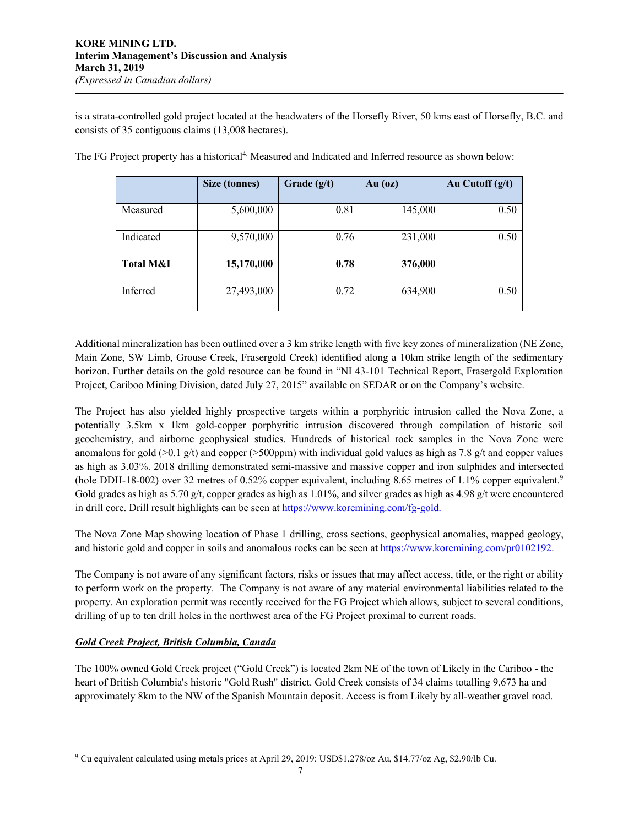is a strata-controlled gold project located at the headwaters of the Horsefly River, 50 kms east of Horsefly, B.C. and consists of 35 contiguous claims (13,008 hectares).

|                      | Size (tonnes) | Grade $(g/t)$ | Au $(oz)$ | Au Cutoff $(g/t)$ |
|----------------------|---------------|---------------|-----------|-------------------|
| Measured             | 5,600,000     | 0.81          | 145,000   | 0.50              |
| Indicated            | 9,570,000     | 0.76          | 231,000   | 0.50              |
| <b>Total M&amp;I</b> | 15,170,000    | 0.78          | 376,000   |                   |
| Inferred             | 27,493,000    | 0.72          | 634,900   | 0.50              |

The FG Project property has a historical<sup>4</sup> Measured and Indicated and Inferred resource as shown below:

Additional mineralization has been outlined over a 3 km strike length with five key zones of mineralization (NE Zone, Main Zone, SW Limb, Grouse Creek, Frasergold Creek) identified along a 10km strike length of the sedimentary horizon. Further details on the gold resource can be found in "NI 43-101 Technical Report, Frasergold Exploration Project, Cariboo Mining Division, dated July 27, 2015" available on SEDAR or on the Company's website.

The Project has also yielded highly prospective targets within a porphyritic intrusion called the Nova Zone, a potentially 3.5km x 1km gold-copper porphyritic intrusion discovered through compilation of historic soil geochemistry, and airborne geophysical studies. Hundreds of historical rock samples in the Nova Zone were anomalous for gold ( $>0.1$  g/t) and copper ( $>500$ ppm) with individual gold values as high as 7.8 g/t and copper values as high as 3.03%. 2018 drilling demonstrated semi-massive and massive copper and iron sulphides and intersected (hole DDH-18-002) over 32 metres of 0.52% copper equivalent, including 8.65 metres of 1.1% copper equivalent.9 Gold grades as high as 5.70 g/t, copper grades as high as  $1.01\%$ , and silver grades as high as 4.98 g/t were encountered in drill core. Drill result highlights can be seen at https://www.koremining.com/fg-gold.

The Nova Zone Map showing location of Phase 1 drilling, cross sections, geophysical anomalies, mapped geology, and historic gold and copper in soils and anomalous rocks can be seen at https://www.koremining.com/pr0102192.

The Company is not aware of any significant factors, risks or issues that may affect access, title, or the right or ability to perform work on the property. The Company is not aware of any material environmental liabilities related to the property. An exploration permit was recently received for the FG Project which allows, subject to several conditions, drilling of up to ten drill holes in the northwest area of the FG Project proximal to current roads.

# *Gold Creek Project, British Columbia, Canada*

 $\overline{\phantom{a}}$ 

The 100% owned Gold Creek project ("Gold Creek") is located 2km NE of the town of Likely in the Cariboo - the heart of British Columbia's historic "Gold Rush" district. Gold Creek consists of 34 claims totalling 9,673 ha and approximately 8km to the NW of the Spanish Mountain deposit. Access is from Likely by all-weather gravel road.

<sup>9</sup> Cu equivalent calculated using metals prices at April 29, 2019: USD\$1,278/oz Au, \$14.77/oz Ag, \$2.90/lb Cu.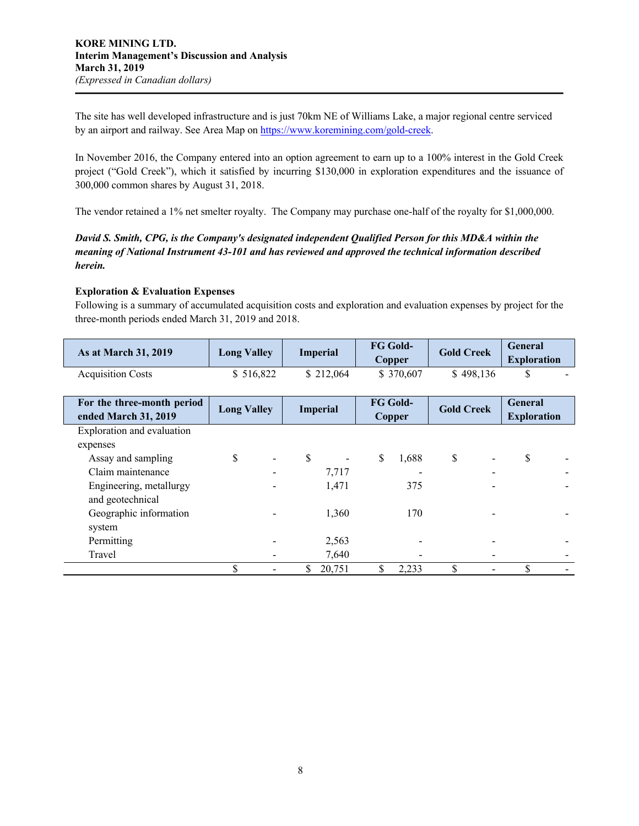The site has well developed infrastructure and is just 70km NE of Williams Lake, a major regional centre serviced by an airport and railway. See Area Map on https://www.koremining.com/gold-creek.

In November 2016, the Company entered into an option agreement to earn up to a 100% interest in the Gold Creek project ("Gold Creek"), which it satisfied by incurring \$130,000 in exploration expenditures and the issuance of 300,000 common shares by August 31, 2018.

The vendor retained a 1% net smelter royalty. The Company may purchase one-half of the royalty for \$1,000,000.

# *David S. Smith, CPG, is the Company's designated independent Qualified Person for this MD&A within the meaning of National Instrument 43-101 and has reviewed and approved the technical information described herein.*

## **Exploration & Evaluation Expenses**

Following is a summary of accumulated acquisition costs and exploration and evaluation expenses by project for the three-month periods ended March 31, 2019 and 2018.

| As at March 31, 2019       | <b>Long Valley</b> | <b>Imperial</b> | <b>FG Gold-</b> | <b>Gold Creek</b> | <b>General</b>     |  |
|----------------------------|--------------------|-----------------|-----------------|-------------------|--------------------|--|
|                            |                    |                 | Copper          |                   | <b>Exploration</b> |  |
| <b>Acquisition Costs</b>   | \$516,822          | \$212,064       | \$370,607       | \$498,136         | S                  |  |
|                            |                    |                 |                 |                   |                    |  |
| For the three-month period | <b>Long Valley</b> | <b>Imperial</b> | FG Gold-        | <b>Gold Creek</b> | <b>General</b>     |  |
| ended March 31, 2019       |                    |                 | Copper          |                   | <b>Exploration</b> |  |
| Exploration and evaluation |                    |                 |                 |                   |                    |  |
| expenses                   |                    |                 |                 |                   |                    |  |
| Assay and sampling         | \$                 | \$              | \$<br>1,688     | \$                | \$                 |  |
| Claim maintenance          |                    | 7,717           |                 |                   |                    |  |
| Engineering, metallurgy    |                    | 1,471           | 375             |                   |                    |  |
| and geotechnical           |                    |                 |                 |                   |                    |  |
| Geographic information     |                    | 1,360           | 170             |                   |                    |  |
| system                     |                    |                 |                 |                   |                    |  |
| Permitting                 |                    | 2,563           |                 |                   |                    |  |
| Travel                     |                    | 7,640           |                 |                   |                    |  |
|                            | \$                 | 20,751          | \$<br>2,233     | \$                | \$                 |  |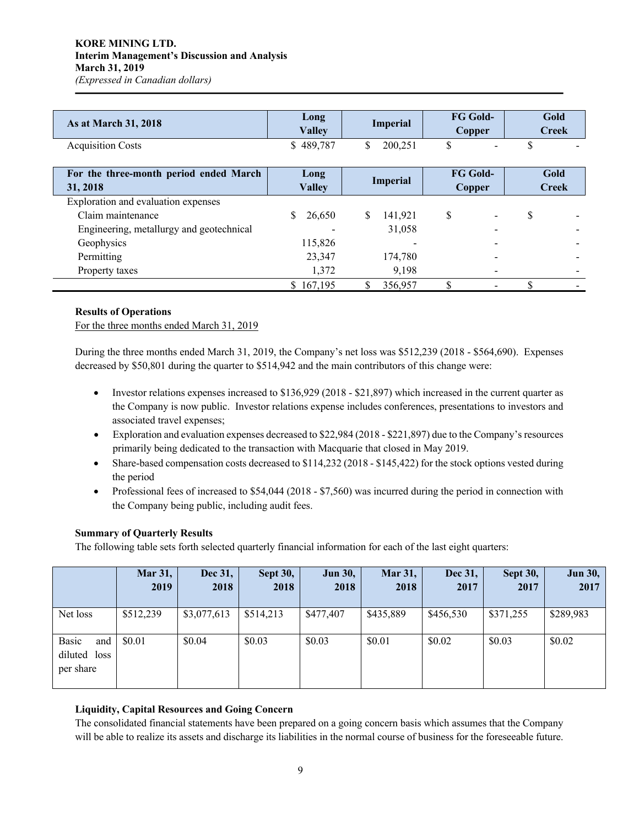## **KORE MINING LTD. Interim Management's Discussion and Analysis March 31, 2019** *(Expressed in Canadian dollars)*

| As at March 31, 2018                               | Long<br><b>Valley</b> | Imperial        | <b>FG Gold-</b><br>Copper        | Gold<br><b>Creek</b> |
|----------------------------------------------------|-----------------------|-----------------|----------------------------------|----------------------|
| <b>Acquisition Costs</b>                           | \$489,787             | \$<br>200,251   | \$                               | \$                   |
| For the three-month period ended March<br>31, 2018 | Long<br><b>Valley</b> | <b>Imperial</b> | <b>FG Gold-</b><br><b>Copper</b> | Gold<br><b>Creek</b> |
| Exploration and evaluation expenses                |                       |                 |                                  |                      |
| Claim maintenance                                  | S<br>26,650           | S.<br>141,921   | \$                               | \$                   |
| Engineering, metallurgy and geotechnical           |                       | 31,058          |                                  |                      |
| Geophysics                                         | 115,826               |                 |                                  |                      |
| Permitting                                         | 23,347                | 174,780         |                                  |                      |
| Property taxes                                     | 1,372                 | 9,198           |                                  |                      |
|                                                    | \$167,195             | S<br>356,957    | \$                               |                      |

## **Results of Operations**

For the three months ended March 31, 2019

During the three months ended March 31, 2019, the Company's net loss was \$512,239 (2018 - \$564,690). Expenses decreased by \$50,801 during the quarter to \$514,942 and the main contributors of this change were:

- Investor relations expenses increased to \$136,929 (2018 \$21,897) which increased in the current quarter as the Company is now public. Investor relations expense includes conferences, presentations to investors and associated travel expenses;
- Exploration and evaluation expenses decreased to \$22,984 (2018 \$221,897) due to the Company's resources primarily being dedicated to the transaction with Macquarie that closed in May 2019.
- Share-based compensation costs decreased to  $$114,232$  (2018 \$145,422) for the stock options vested during the period
- Professional fees of increased to \$54,044 (2018 \$7,560) was incurred during the period in connection with the Company being public, including audit fees.

#### **Summary of Quarterly Results**

The following table sets forth selected quarterly financial information for each of the last eight quarters:

|                                           | <b>Mar 31,</b><br>2019 | Dec 31,<br>2018 | <b>Sept 30,</b><br>2018 | <b>Jun 30,</b><br>2018 | <b>Mar 31,</b><br>2018 | Dec 31,<br>2017 | <b>Sept 30,</b><br>2017 | <b>Jun 30,</b><br>2017 |
|-------------------------------------------|------------------------|-----------------|-------------------------|------------------------|------------------------|-----------------|-------------------------|------------------------|
| Net loss                                  | \$512,239              | \$3,077,613     | \$514,213               | \$477,407              | \$435,889              | \$456,530       | \$371,255               | \$289,983              |
| Basic<br>and<br>diluted loss<br>per share | \$0.01                 | \$0.04          | \$0.03                  | \$0.03                 | \$0.01                 | \$0.02          | \$0.03                  | \$0.02                 |

## **Liquidity, Capital Resources and Going Concern**

The consolidated financial statements have been prepared on a going concern basis which assumes that the Company will be able to realize its assets and discharge its liabilities in the normal course of business for the foreseeable future.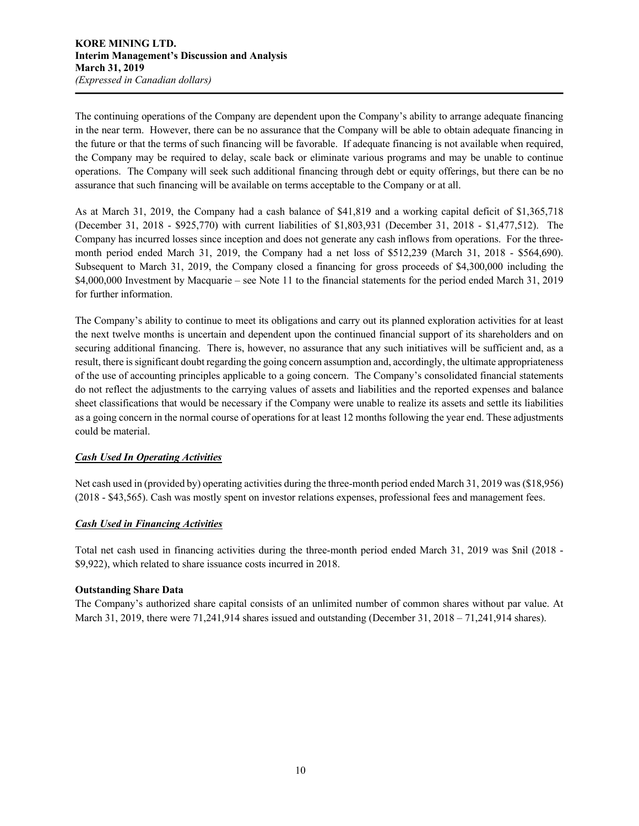The continuing operations of the Company are dependent upon the Company's ability to arrange adequate financing in the near term. However, there can be no assurance that the Company will be able to obtain adequate financing in the future or that the terms of such financing will be favorable. If adequate financing is not available when required, the Company may be required to delay, scale back or eliminate various programs and may be unable to continue operations. The Company will seek such additional financing through debt or equity offerings, but there can be no assurance that such financing will be available on terms acceptable to the Company or at all.

As at March 31, 2019, the Company had a cash balance of \$41,819 and a working capital deficit of \$1,365,718 (December 31, 2018 - \$925,770) with current liabilities of \$1,803,931 (December 31, 2018 - \$1,477,512). The Company has incurred losses since inception and does not generate any cash inflows from operations. For the threemonth period ended March 31, 2019, the Company had a net loss of \$512,239 (March 31, 2018 - \$564,690). Subsequent to March 31, 2019, the Company closed a financing for gross proceeds of \$4,300,000 including the \$4,000,000 Investment by Macquarie – see Note 11 to the financial statements for the period ended March 31, 2019 for further information.

The Company's ability to continue to meet its obligations and carry out its planned exploration activities for at least the next twelve months is uncertain and dependent upon the continued financial support of its shareholders and on securing additional financing. There is, however, no assurance that any such initiatives will be sufficient and, as a result, there is significant doubt regarding the going concern assumption and, accordingly, the ultimate appropriateness of the use of accounting principles applicable to a going concern. The Company's consolidated financial statements do not reflect the adjustments to the carrying values of assets and liabilities and the reported expenses and balance sheet classifications that would be necessary if the Company were unable to realize its assets and settle its liabilities as a going concern in the normal course of operations for at least 12 months following the year end. These adjustments could be material.

# *Cash Used In Operating Activities*

Net cash used in (provided by) operating activities during the three-month period ended March 31, 2019 was(\$18,956) (2018 - \$43,565). Cash was mostly spent on investor relations expenses, professional fees and management fees.

# *Cash Used in Financing Activities*

Total net cash used in financing activities during the three-month period ended March 31, 2019 was \$nil (2018 - \$9,922), which related to share issuance costs incurred in 2018.

## **Outstanding Share Data**

The Company's authorized share capital consists of an unlimited number of common shares without par value. At March 31, 2019, there were 71,241,914 shares issued and outstanding (December 31, 2018 – 71,241,914 shares).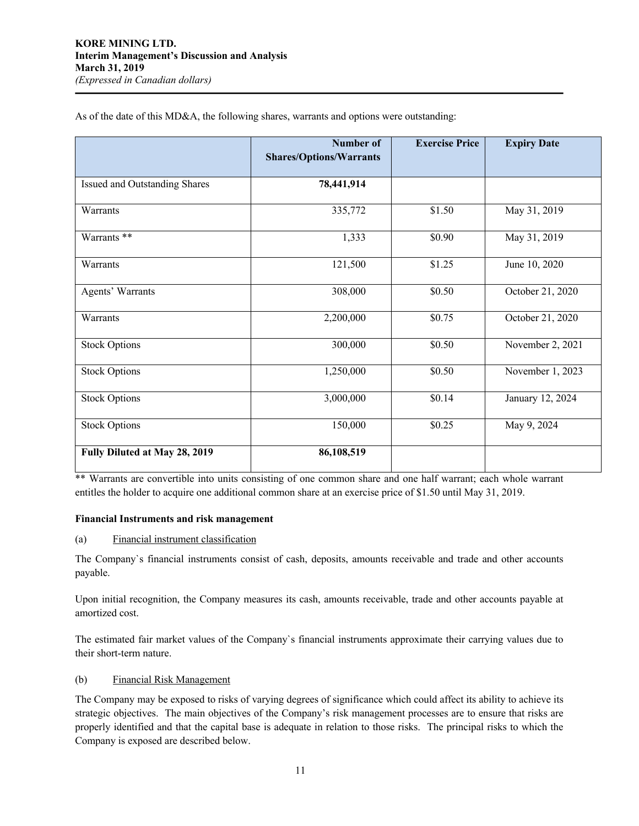|                               | <b>Number of</b><br><b>Shares/Options/Warrants</b> | <b>Exercise Price</b> | <b>Expiry Date</b> |
|-------------------------------|----------------------------------------------------|-----------------------|--------------------|
|                               |                                                    |                       |                    |
| Issued and Outstanding Shares | 78,441,914                                         |                       |                    |
| Warrants                      | 335,772                                            | \$1.50                | May 31, 2019       |
| Warrants **                   | 1,333                                              | \$0.90                | May 31, 2019       |
| Warrants                      | 121,500                                            | \$1.25                | June 10, 2020      |
| Agents' Warrants              | 308,000                                            | \$0.50                | October 21, 2020   |
| Warrants                      | 2,200,000                                          | \$0.75                | October 21, 2020   |
| <b>Stock Options</b>          | 300,000                                            | \$0.50                | November 2, 2021   |
| <b>Stock Options</b>          | 1,250,000                                          | \$0.50                | November 1, 2023   |
| Stock Options                 | 3,000,000                                          | \$0.14                | January 12, 2024   |
| <b>Stock Options</b>          | 150,000                                            | \$0.25                | May 9, 2024        |
| Fully Diluted at May 28, 2019 | 86,108,519                                         |                       |                    |

As of the date of this MD&A, the following shares, warrants and options were outstanding:

\*\* Warrants are convertible into units consisting of one common share and one half warrant; each whole warrant entitles the holder to acquire one additional common share at an exercise price of \$1.50 until May 31, 2019.

## **Financial Instruments and risk management**

(a) Financial instrument classification

The Company`s financial instruments consist of cash, deposits, amounts receivable and trade and other accounts payable.

Upon initial recognition, the Company measures its cash, amounts receivable, trade and other accounts payable at amortized cost.

The estimated fair market values of the Company`s financial instruments approximate their carrying values due to their short-term nature.

#### (b) Financial Risk Management

The Company may be exposed to risks of varying degrees of significance which could affect its ability to achieve its strategic objectives. The main objectives of the Company's risk management processes are to ensure that risks are properly identified and that the capital base is adequate in relation to those risks. The principal risks to which the Company is exposed are described below.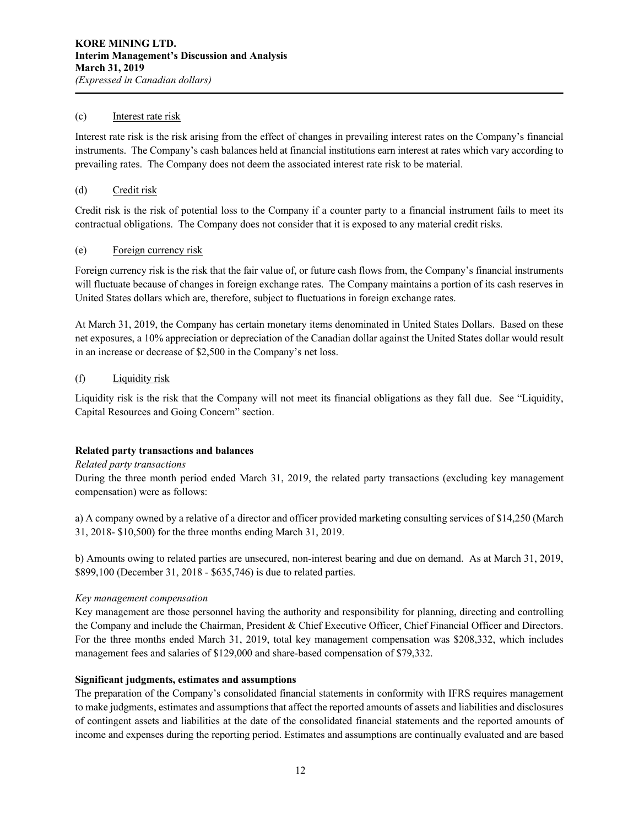#### (c) Interest rate risk

Interest rate risk is the risk arising from the effect of changes in prevailing interest rates on the Company's financial instruments. The Company's cash balances held at financial institutions earn interest at rates which vary according to prevailing rates. The Company does not deem the associated interest rate risk to be material.

#### (d) Credit risk

Credit risk is the risk of potential loss to the Company if a counter party to a financial instrument fails to meet its contractual obligations. The Company does not consider that it is exposed to any material credit risks.

#### (e) Foreign currency risk

Foreign currency risk is the risk that the fair value of, or future cash flows from, the Company's financial instruments will fluctuate because of changes in foreign exchange rates. The Company maintains a portion of its cash reserves in United States dollars which are, therefore, subject to fluctuations in foreign exchange rates.

At March 31, 2019, the Company has certain monetary items denominated in United States Dollars. Based on these net exposures, a 10% appreciation or depreciation of the Canadian dollar against the United States dollar would result in an increase or decrease of \$2,500 in the Company's net loss.

#### (f) Liquidity risk

Liquidity risk is the risk that the Company will not meet its financial obligations as they fall due. See "Liquidity, Capital Resources and Going Concern" section.

#### **Related party transactions and balances**

## *Related party transactions*

During the three month period ended March 31, 2019, the related party transactions (excluding key management compensation) were as follows:

a) A company owned by a relative of a director and officer provided marketing consulting services of \$14,250 (March 31, 2018- \$10,500) for the three months ending March 31, 2019.

b) Amounts owing to related parties are unsecured, non-interest bearing and due on demand. As at March 31, 2019, \$899,100 (December 31, 2018 - \$635,746) is due to related parties.

#### *Key management compensation*

Key management are those personnel having the authority and responsibility for planning, directing and controlling the Company and include the Chairman, President & Chief Executive Officer, Chief Financial Officer and Directors. For the three months ended March 31, 2019, total key management compensation was \$208,332, which includes management fees and salaries of \$129,000 and share-based compensation of \$79,332.

#### **Significant judgments, estimates and assumptions**

The preparation of the Company's consolidated financial statements in conformity with IFRS requires management to make judgments, estimates and assumptions that affect the reported amounts of assets and liabilities and disclosures of contingent assets and liabilities at the date of the consolidated financial statements and the reported amounts of income and expenses during the reporting period. Estimates and assumptions are continually evaluated and are based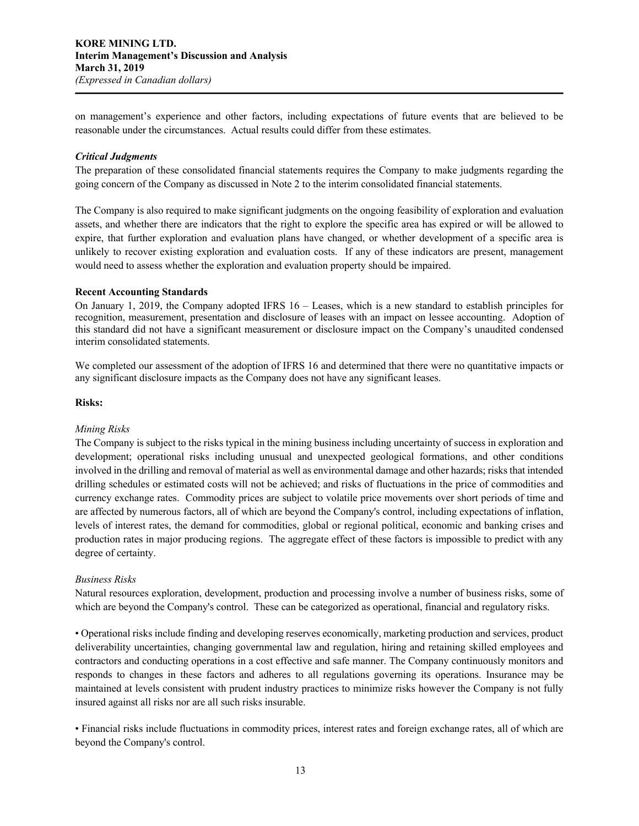on management's experience and other factors, including expectations of future events that are believed to be reasonable under the circumstances. Actual results could differ from these estimates.

#### *Critical Judgments*

The preparation of these consolidated financial statements requires the Company to make judgments regarding the going concern of the Company as discussed in Note 2 to the interim consolidated financial statements.

The Company is also required to make significant judgments on the ongoing feasibility of exploration and evaluation assets, and whether there are indicators that the right to explore the specific area has expired or will be allowed to expire, that further exploration and evaluation plans have changed, or whether development of a specific area is unlikely to recover existing exploration and evaluation costs. If any of these indicators are present, management would need to assess whether the exploration and evaluation property should be impaired.

#### **Recent Accounting Standards**

On January 1, 2019, the Company adopted IFRS 16 – Leases, which is a new standard to establish principles for recognition, measurement, presentation and disclosure of leases with an impact on lessee accounting. Adoption of this standard did not have a significant measurement or disclosure impact on the Company's unaudited condensed interim consolidated statements.

We completed our assessment of the adoption of IFRS 16 and determined that there were no quantitative impacts or any significant disclosure impacts as the Company does not have any significant leases.

## **Risks:**

## *Mining Risks*

The Company is subject to the risks typical in the mining business including uncertainty of success in exploration and development; operational risks including unusual and unexpected geological formations, and other conditions involved in the drilling and removal of material as well as environmental damage and other hazards; risks that intended drilling schedules or estimated costs will not be achieved; and risks of fluctuations in the price of commodities and currency exchange rates. Commodity prices are subject to volatile price movements over short periods of time and are affected by numerous factors, all of which are beyond the Company's control, including expectations of inflation, levels of interest rates, the demand for commodities, global or regional political, economic and banking crises and production rates in major producing regions. The aggregate effect of these factors is impossible to predict with any degree of certainty.

#### *Business Risks*

Natural resources exploration, development, production and processing involve a number of business risks, some of which are beyond the Company's control. These can be categorized as operational, financial and regulatory risks.

• Operational risks include finding and developing reserves economically, marketing production and services, product deliverability uncertainties, changing governmental law and regulation, hiring and retaining skilled employees and contractors and conducting operations in a cost effective and safe manner. The Company continuously monitors and responds to changes in these factors and adheres to all regulations governing its operations. Insurance may be maintained at levels consistent with prudent industry practices to minimize risks however the Company is not fully insured against all risks nor are all such risks insurable.

• Financial risks include fluctuations in commodity prices, interest rates and foreign exchange rates, all of which are beyond the Company's control.